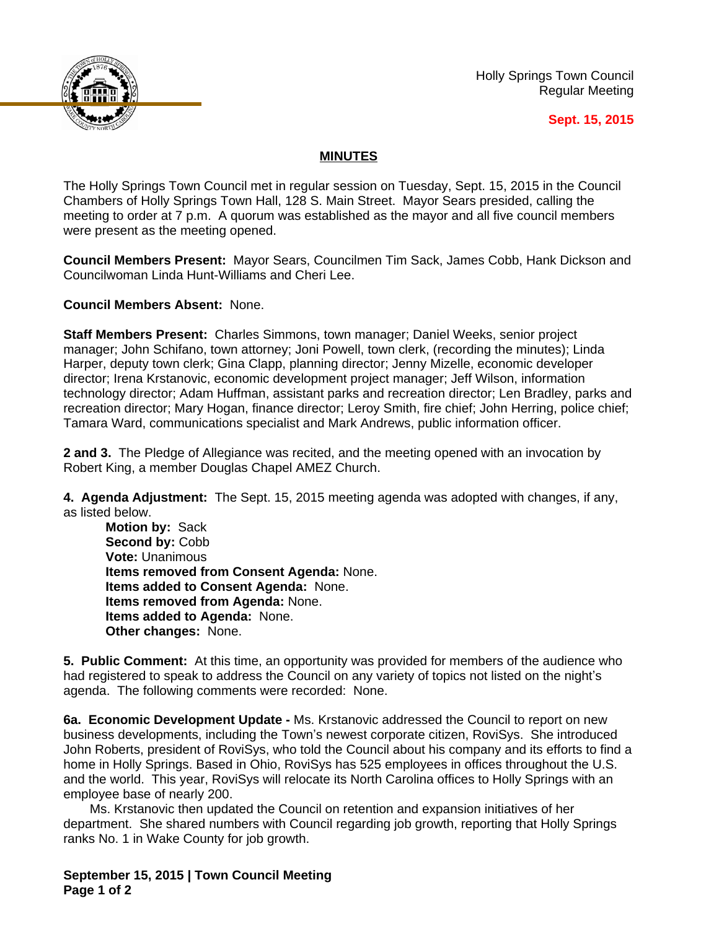

Holly Springs Town Council Regular Meeting

## **Sept. 15, 2015**

## **MINUTES**

The Holly Springs Town Council met in regular session on Tuesday, Sept. 15, 2015 in the Council Chambers of Holly Springs Town Hall, 128 S. Main Street. Mayor Sears presided, calling the meeting to order at 7 p.m. A quorum was established as the mayor and all five council members were present as the meeting opened.

**Council Members Present:** Mayor Sears, Councilmen Tim Sack, James Cobb, Hank Dickson and Councilwoman Linda Hunt-Williams and Cheri Lee.

**Council Members Absent:** None.

**Staff Members Present:** Charles Simmons, town manager; Daniel Weeks, senior project manager; John Schifano, town attorney; Joni Powell, town clerk, (recording the minutes); Linda Harper, deputy town clerk; Gina Clapp, planning director; Jenny Mizelle, economic developer director; Irena Krstanovic, economic development project manager; Jeff Wilson, information technology director; Adam Huffman, assistant parks and recreation director; Len Bradley, parks and recreation director; Mary Hogan, finance director; Leroy Smith, fire chief; John Herring, police chief; Tamara Ward, communications specialist and Mark Andrews, public information officer.

**2 and 3.** The Pledge of Allegiance was recited, and the meeting opened with an invocation by Robert King, a member Douglas Chapel AMEZ Church.

**4. Agenda Adjustment:** The Sept. 15, 2015 meeting agenda was adopted with changes, if any, as listed below.

**Motion by:** Sack Second by: Cobb **Vote:** Unanimous **Items removed from Consent Agenda:** None. **Items added to Consent Agenda:** None. **Items removed from Agenda:** None. **Items added to Agenda:** None. **Other changes:** None.

**5. Public Comment:** At this time, an opportunity was provided for members of the audience who had registered to speak to address the Council on any variety of topics not listed on the night's agenda. The following comments were recorded: None.

**6a. Economic Development Update -** Ms. Krstanovic addressed the Council to report on new business developments, including the Town's newest corporate citizen, RoviSys. She introduced John Roberts, president of RoviSys, who told the Council about his company and its efforts to find a home in Holly Springs. Based in Ohio, RoviSys has 525 employees in offices throughout the U.S. and the world. This year, RoviSys will relocate its North Carolina offices to Holly Springs with an employee base of nearly 200.

Ms. Krstanovic then updated the Council on retention and expansion initiatives of her department. She shared numbers with Council regarding job growth, reporting that Holly Springs ranks No. 1 in Wake County for job growth.

**September 15, 2015 | Town Council Meeting Page 1 of 2**